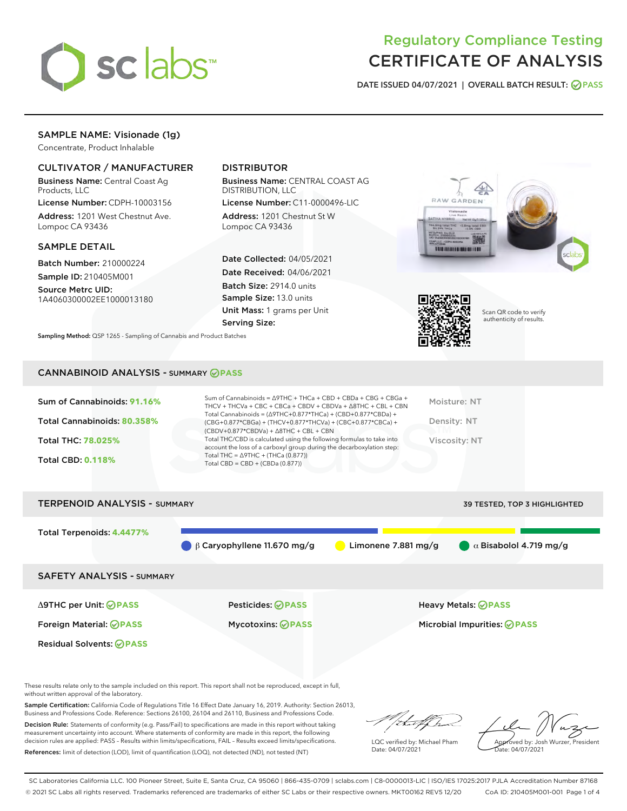

# Regulatory Compliance Testing CERTIFICATE OF ANALYSIS

DATE ISSUED 04/07/2021 | OVERALL BATCH RESULT: @ PASS

# SAMPLE NAME: Visionade (1g)

Concentrate, Product Inhalable

## CULTIVATOR / MANUFACTURER

Business Name: Central Coast Ag Products, LLC

License Number: CDPH-10003156 Address: 1201 West Chestnut Ave. Lompoc CA 93436

#### SAMPLE DETAIL

Batch Number: 210000224 Sample ID: 210405M001

Source Metrc UID: 1A4060300002EE1000013180

# DISTRIBUTOR

Business Name: CENTRAL COAST AG DISTRIBUTION, LLC

License Number: C11-0000496-LIC Address: 1201 Chestnut St W Lompoc CA 93436

Date Collected: 04/05/2021 Date Received: 04/06/2021 Batch Size: 2914.0 units Sample Size: 13.0 units Unit Mass: 1 grams per Unit Serving Size:





Scan QR code to verify authenticity of results.

Sampling Method: QSP 1265 - Sampling of Cannabis and Product Batches

## CANNABINOID ANALYSIS - SUMMARY **PASS**

| Sum of Cannabinoids: 91.16% | Sum of Cannabinoids = Δ9THC + THCa + CBD + CBDa + CBG + CBGa +<br>THCV + THCVa + CBC + CBCa + CBDV + CBDVa + $\Delta$ 8THC + CBL + CBN                                               | Moisture: NT  |
|-----------------------------|--------------------------------------------------------------------------------------------------------------------------------------------------------------------------------------|---------------|
| Total Cannabinoids: 80.358% | Total Cannabinoids = $(\Delta$ 9THC+0.877*THCa) + (CBD+0.877*CBDa) +<br>(CBG+0.877*CBGa) + (THCV+0.877*THCVa) + (CBC+0.877*CBCa) +<br>$(CBDV+0.877*CBDVa) + \Delta 8THC + CBL + CBN$ | Density: NT   |
| <b>Total THC: 78.025%</b>   | Total THC/CBD is calculated using the following formulas to take into<br>account the loss of a carboxyl group during the decarboxylation step:                                       | Viscosity: NT |
| <b>Total CBD: 0.118%</b>    | Total THC = $\triangle$ 9THC + (THCa (0.877))<br>Total CBD = $CBD + (CBDa (0.877))$                                                                                                  |               |
|                             |                                                                                                                                                                                      |               |



These results relate only to the sample included on this report. This report shall not be reproduced, except in full, without written approval of the laboratory.

Sample Certification: California Code of Regulations Title 16 Effect Date January 16, 2019. Authority: Section 26013, Business and Professions Code. Reference: Sections 26100, 26104 and 26110, Business and Professions Code.

Decision Rule: Statements of conformity (e.g. Pass/Fail) to specifications are made in this report without taking measurement uncertainty into account. Where statements of conformity are made in this report, the following decision rules are applied: PASS – Results within limits/specifications, FAIL – Results exceed limits/specifications. References: limit of detection (LOD), limit of quantification (LOQ), not detected (ND), not tested (NT)

that fCh

LQC verified by: Michael Pham Date: 04/07/2021

Approved by: Josh Wurzer, President ate: 04/07/2021

SC Laboratories California LLC. 100 Pioneer Street, Suite E, Santa Cruz, CA 95060 | 866-435-0709 | sclabs.com | C8-0000013-LIC | ISO/IES 17025:2017 PJLA Accreditation Number 87168 © 2021 SC Labs all rights reserved. Trademarks referenced are trademarks of either SC Labs or their respective owners. MKT00162 REV5 12/20 CoA ID: 210405M001-001 Page 1 of 4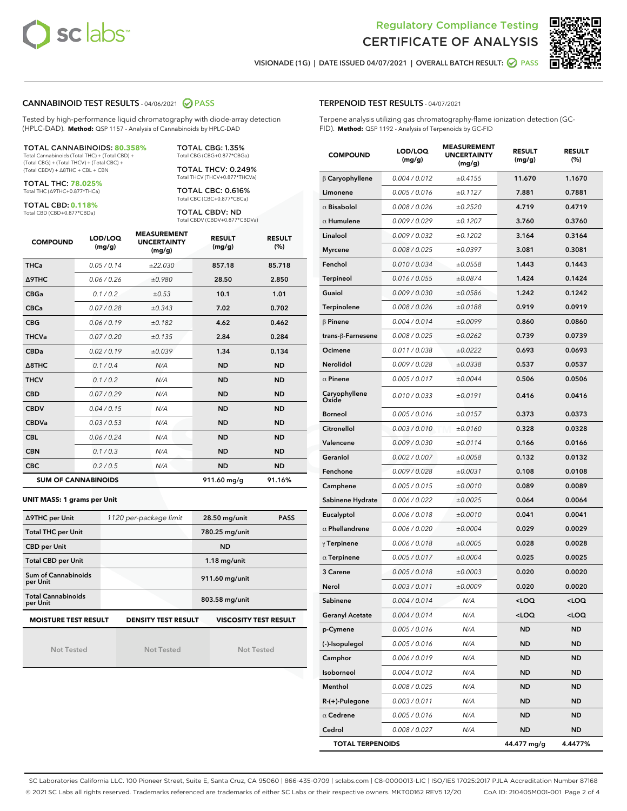



VISIONADE (1G) | DATE ISSUED 04/07/2021 | OVERALL BATCH RESULT: 0 PASS

#### CANNABINOID TEST RESULTS - 04/06/2021 2 PASS

Tested by high-performance liquid chromatography with diode-array detection (HPLC-DAD). **Method:** QSP 1157 - Analysis of Cannabinoids by HPLC-DAD

#### TOTAL CANNABINOIDS: **80.358%**

Total Cannabinoids (Total THC) + (Total CBD) + (Total CBG) + (Total THCV) + (Total CBC) + (Total CBDV) + ∆8THC + CBL + CBN

TOTAL THC: **78.025%** Total THC (∆9THC+0.877\*THCa)

TOTAL CBD: **0.118%**

Total CBD (CBD+0.877\*CBDa)

TOTAL CBG: 1.35% Total CBG (CBG+0.877\*CBGa)

TOTAL THCV: 0.249% Total THCV (THCV+0.877\*THCVa)

TOTAL CBC: 0.616% Total CBC (CBC+0.877\*CBCa)

TOTAL CBDV: ND Total CBDV (CBDV+0.877\*CBDVa)

| <b>COMPOUND</b>  | LOD/LOQ<br>(mg/g)          | <b>MEASUREMENT</b><br><b>UNCERTAINTY</b><br>(mg/g) | <b>RESULT</b><br>(mg/g) | <b>RESULT</b><br>(%) |
|------------------|----------------------------|----------------------------------------------------|-------------------------|----------------------|
| <b>THCa</b>      | 0.05/0.14                  | ±22.030                                            | 857.18                  | 85.718               |
| <b>A9THC</b>     | 0.06 / 0.26                | ±0.980                                             | 28.50                   | 2.850                |
| <b>CBGa</b>      | 0.1 / 0.2                  | ±0.53                                              | 10.1                    | 1.01                 |
| <b>CBCa</b>      | 0.07/0.28                  | ±0.343                                             | 7.02                    | 0.702                |
| <b>CBG</b>       | 0.06/0.19                  | ±0.182                                             | 4.62                    | 0.462                |
| <b>THCVa</b>     | 0.07/0.20                  | ±0.135                                             | 2.84                    | 0.284                |
| <b>CBDa</b>      | 0.02/0.19                  | ±0.039                                             | 1.34                    | 0.134                |
| $\triangle$ 8THC | 0.1/0.4                    | N/A                                                | <b>ND</b>               | <b>ND</b>            |
| <b>THCV</b>      | 0.1/0.2                    | N/A                                                | <b>ND</b>               | <b>ND</b>            |
| <b>CBD</b>       | 0.07/0.29                  | N/A                                                | <b>ND</b>               | <b>ND</b>            |
| <b>CBDV</b>      | 0.04 / 0.15                | N/A                                                | <b>ND</b>               | <b>ND</b>            |
| <b>CBDVa</b>     | 0.03/0.53                  | N/A                                                | <b>ND</b>               | <b>ND</b>            |
| <b>CBL</b>       | 0.06 / 0.24                | N/A                                                | <b>ND</b>               | <b>ND</b>            |
| <b>CBN</b>       | 0.1/0.3                    | N/A                                                | <b>ND</b>               | <b>ND</b>            |
| <b>CBC</b>       | 0.2 / 0.5                  | N/A                                                | <b>ND</b>               | <b>ND</b>            |
|                  | <b>SUM OF CANNABINOIDS</b> |                                                    | 911.60 mg/g             | 91.16%               |

#### **UNIT MASS: 1 grams per Unit**

| ∆9THC per Unit                        | 1120 per-package limit     | 28.50 mg/unit<br><b>PASS</b> |
|---------------------------------------|----------------------------|------------------------------|
| <b>Total THC per Unit</b>             |                            | 780.25 mg/unit               |
| <b>CBD per Unit</b>                   |                            | <b>ND</b>                    |
| <b>Total CBD per Unit</b>             |                            | $1.18$ mg/unit               |
| Sum of Cannabinoids<br>per Unit       |                            | 911.60 mg/unit               |
| <b>Total Cannabinoids</b><br>per Unit |                            | 803.58 mg/unit               |
| <b>MOISTURE TEST RESULT</b>           | <b>DENSITY TEST RESULT</b> | <b>VISCOSITY TEST RESULT</b> |

Not Tested

Not Tested

Not Tested

#### TERPENOID TEST RESULTS - 04/07/2021

Terpene analysis utilizing gas chromatography-flame ionization detection (GC-FID). **Method:** QSP 1192 - Analysis of Terpenoids by GC-FID

| <b>COMPOUND</b>         | LOD/LOQ<br>(mg/g) | <b>MEASUREMENT</b><br><b>UNCERTAINTY</b><br>(mg/g) | <b>RESULT</b><br>(mg/g)                          | <b>RESULT</b><br>(%) |
|-------------------------|-------------------|----------------------------------------------------|--------------------------------------------------|----------------------|
| $\beta$ Caryophyllene   | 0.004 / 0.012     | ±0.4155                                            | 11.670                                           | 1.1670               |
| Limonene                | 0.005 / 0.016     | ±0.1127                                            | 7.881                                            | 0.7881               |
| $\alpha$ Bisabolol      | 0.008 / 0.026     | ±0.2520                                            | 4.719                                            | 0.4719               |
| $\alpha$ Humulene       | 0.009 / 0.029     | ±0.1207                                            | 3.760                                            | 0.3760               |
| Linalool                | 0.009 / 0.032     | ±0.1202                                            | 3.164                                            | 0.3164               |
| <b>Myrcene</b>          | 0.008 / 0.025     | ±0.0397                                            | 3.081                                            | 0.3081               |
| Fenchol                 | 0.010 / 0.034     | ±0.0558                                            | 1.443                                            | 0.1443               |
| <b>Terpineol</b>        | 0.016 / 0.055     | ±0.0874                                            | 1.424                                            | 0.1424               |
| Guaiol                  | 0.009 / 0.030     | ±0.0586                                            | 1.242                                            | 0.1242               |
| Terpinolene             | 0.008 / 0.026     | ±0.0188                                            | 0.919                                            | 0.0919               |
| $\beta$ Pinene          | 0.004 / 0.014     | ±0.0099                                            | 0.860                                            | 0.0860               |
| trans-ß-Farnesene       | 0.008 / 0.025     | ±0.0262                                            | 0.739                                            | 0.0739               |
| Ocimene                 | 0.011 / 0.038     | ±0.0222                                            | 0.693                                            | 0.0693               |
| Nerolidol               | 0.009 / 0.028     | ±0.0338                                            | 0.537                                            | 0.0537               |
| $\alpha$ Pinene         | 0.005 / 0.017     | ±0.0044                                            | 0.506                                            | 0.0506               |
| Caryophyllene<br>Oxide  | 0.010 / 0.033     | ±0.0191                                            | 0.416                                            | 0.0416               |
| <b>Borneol</b>          | 0.005 / 0.016     | ±0.0157                                            | 0.373                                            | 0.0373               |
| Citronellol             | 0.003 / 0.010     | ±0.0160                                            | 0.328                                            | 0.0328               |
| Valencene               | 0.009 / 0.030     | ±0.0114                                            | 0.166                                            | 0.0166               |
| Geraniol                | 0.002 / 0.007     | ±0.0058                                            | 0.132                                            | 0.0132               |
| Fenchone                | 0.009 / 0.028     | ±0.0031                                            | 0.108                                            | 0.0108               |
| Camphene                | 0.005 / 0.015     | ±0.0010                                            | 0.089                                            | 0.0089               |
| Sabinene Hydrate        | 0.006 / 0.022     | ±0.0025                                            | 0.064                                            | 0.0064               |
| Eucalyptol              | 0.006 / 0.018     | ±0.0010                                            | 0.041                                            | 0.0041               |
| $\alpha$ Phellandrene   | 0.006 / 0.020     | ±0.0004                                            | 0.029                                            | 0.0029               |
| $\gamma$ Terpinene      | 0.006 / 0.018     | ±0.0005                                            | 0.028                                            | 0.0028               |
| $\alpha$ Terpinene      | 0.005 / 0.017     | ±0.0004                                            | 0.025                                            | 0.0025               |
| 3 Carene                | 0.005 / 0.018     | ±0.0003                                            | 0.020                                            | 0.0020               |
| Nerol                   | 0.003 / 0.011     | ±0.0009                                            | 0.020                                            | 0.0020               |
| Sabinene                | 0.004 / 0.014     | N/A                                                | <loq< th=""><th><math>&lt;</math>LOQ</th></loq<> | $<$ LOQ              |
| <b>Geranyl Acetate</b>  | 0.004 / 0.014     | N/A                                                | <loq< th=""><th><loq< th=""></loq<></th></loq<>  | <loq< th=""></loq<>  |
| p-Cymene                | 0.005 / 0.016     | N/A                                                | ND                                               | ND                   |
| (-)-Isopulegol          | 0.005 / 0.016     | N/A                                                | <b>ND</b>                                        | <b>ND</b>            |
| Camphor                 | 0.006 / 0.019     | N/A                                                | <b>ND</b>                                        | ND                   |
| Isoborneol              | 0.004 / 0.012     | N/A                                                | <b>ND</b>                                        | ND                   |
| Menthol                 | 0.008 / 0.025     | N/A                                                | ND                                               | <b>ND</b>            |
| $R-(+)$ -Pulegone       | 0.003 / 0.011     | N/A                                                | <b>ND</b>                                        | <b>ND</b>            |
| $\alpha$ Cedrene        | 0.005 / 0.016     | N/A                                                | ND                                               | ND                   |
| Cedrol                  | 0.008 / 0.027     | N/A                                                | <b>ND</b>                                        | ND                   |
| <b>TOTAL TERPENOIDS</b> |                   |                                                    | 44.477 mg/g                                      | 4.4477%              |

SC Laboratories California LLC. 100 Pioneer Street, Suite E, Santa Cruz, CA 95060 | 866-435-0709 | sclabs.com | C8-0000013-LIC | ISO/IES 17025:2017 PJLA Accreditation Number 87168 © 2021 SC Labs all rights reserved. Trademarks referenced are trademarks of either SC Labs or their respective owners. MKT00162 REV5 12/20 CoA ID: 210405M001-001 Page 2 of 4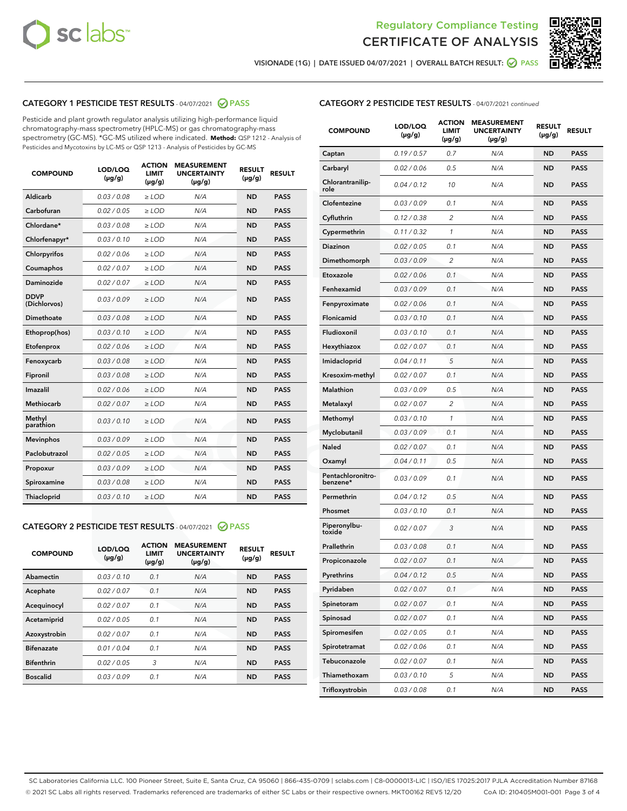



VISIONADE (1G) | DATE ISSUED 04/07/2021 | OVERALL BATCH RESULT: ● PASS

# CATEGORY 1 PESTICIDE TEST RESULTS - 04/07/2021 2 PASS

Pesticide and plant growth regulator analysis utilizing high-performance liquid chromatography-mass spectrometry (HPLC-MS) or gas chromatography-mass spectrometry (GC-MS). \*GC-MS utilized where indicated. **Method:** QSP 1212 - Analysis of Pesticides and Mycotoxins by LC-MS or QSP 1213 - Analysis of Pesticides by GC-MS

| <b>COMPOUND</b>             | LOD/LOQ<br>$(\mu g/g)$ | <b>ACTION</b><br><b>LIMIT</b><br>$(\mu g/g)$ | <b>MEASUREMENT</b><br><b>UNCERTAINTY</b><br>$(\mu g/g)$ | <b>RESULT</b><br>$(\mu g/g)$ | <b>RESULT</b> |
|-----------------------------|------------------------|----------------------------------------------|---------------------------------------------------------|------------------------------|---------------|
| Aldicarb                    | 0.03 / 0.08            | $\ge$ LOD                                    | N/A                                                     | <b>ND</b>                    | <b>PASS</b>   |
| Carbofuran                  | 0.02/0.05              | $>$ LOD                                      | N/A                                                     | <b>ND</b>                    | <b>PASS</b>   |
| Chlordane*                  | 0.03 / 0.08            | $\ge$ LOD                                    | N/A                                                     | <b>ND</b>                    | <b>PASS</b>   |
| Chlorfenapyr*               | 0.03/0.10              | $\ge$ LOD                                    | N/A                                                     | <b>ND</b>                    | <b>PASS</b>   |
| Chlorpyrifos                | 0.02 / 0.06            | $\ge$ LOD                                    | N/A                                                     | <b>ND</b>                    | <b>PASS</b>   |
| Coumaphos                   | 0.02/0.07              | $>$ LOD                                      | N/A                                                     | <b>ND</b>                    | <b>PASS</b>   |
| <b>Daminozide</b>           | 0.02 / 0.07            | $\ge$ LOD                                    | N/A                                                     | <b>ND</b>                    | <b>PASS</b>   |
| <b>DDVP</b><br>(Dichlorvos) | 0.03/0.09              | $\ge$ LOD                                    | N/A                                                     | <b>ND</b>                    | <b>PASS</b>   |
| <b>Dimethoate</b>           | 0.03/0.08              | $\ge$ LOD                                    | N/A                                                     | <b>ND</b>                    | <b>PASS</b>   |
| Ethoprop(hos)               | 0.03/0.10              | $\ge$ LOD                                    | N/A                                                     | <b>ND</b>                    | <b>PASS</b>   |
| Etofenprox                  | 0.02 / 0.06            | $>$ LOD                                      | N/A                                                     | <b>ND</b>                    | <b>PASS</b>   |
| Fenoxycarb                  | 0.03/0.08              | $\ge$ LOD                                    | N/A                                                     | <b>ND</b>                    | <b>PASS</b>   |
| Fipronil                    | 0.03/0.08              | $>$ LOD                                      | N/A                                                     | <b>ND</b>                    | <b>PASS</b>   |
| Imazalil                    | 0.02 / 0.06            | $\ge$ LOD                                    | N/A                                                     | <b>ND</b>                    | <b>PASS</b>   |
| Methiocarb                  | 0.02 / 0.07            | $\ge$ LOD                                    | N/A                                                     | <b>ND</b>                    | <b>PASS</b>   |
| Methyl<br>parathion         | 0.03/0.10              | $>$ LOD                                      | N/A                                                     | <b>ND</b>                    | <b>PASS</b>   |
| <b>Mevinphos</b>            | 0.03/0.09              | $>$ LOD                                      | N/A                                                     | <b>ND</b>                    | <b>PASS</b>   |
| Paclobutrazol               | 0.02 / 0.05            | $\ge$ LOD                                    | N/A                                                     | <b>ND</b>                    | <b>PASS</b>   |
| Propoxur                    | 0.03/0.09              | $>$ LOD                                      | N/A                                                     | <b>ND</b>                    | <b>PASS</b>   |
| Spiroxamine                 | 0.03 / 0.08            | $\ge$ LOD                                    | N/A                                                     | <b>ND</b>                    | <b>PASS</b>   |
| Thiacloprid                 | 0.03/0.10              | $\ge$ LOD                                    | N/A                                                     | <b>ND</b>                    | <b>PASS</b>   |

#### CATEGORY 2 PESTICIDE TEST RESULTS - 04/07/2021 @ PASS

| <b>COMPOUND</b>   | LOD/LOQ<br>$(\mu g/g)$ | <b>ACTION</b><br><b>LIMIT</b><br>$(\mu g/g)$ | <b>MEASUREMENT</b><br><b>UNCERTAINTY</b><br>$(\mu g/g)$ | <b>RESULT</b><br>$(\mu g/g)$ | <b>RESULT</b> |
|-------------------|------------------------|----------------------------------------------|---------------------------------------------------------|------------------------------|---------------|
| Abamectin         | 0.03/0.10              | 0.1                                          | N/A                                                     | <b>ND</b>                    | <b>PASS</b>   |
| Acephate          | 0.02/0.07              | 0.1                                          | N/A                                                     | <b>ND</b>                    | <b>PASS</b>   |
| Acequinocyl       | 0.02/0.07              | 0.1                                          | N/A                                                     | <b>ND</b>                    | <b>PASS</b>   |
| Acetamiprid       | 0.02/0.05              | 0.1                                          | N/A                                                     | <b>ND</b>                    | <b>PASS</b>   |
| Azoxystrobin      | 0.02/0.07              | 0.1                                          | N/A                                                     | <b>ND</b>                    | <b>PASS</b>   |
| <b>Bifenazate</b> | 0.01/0.04              | 0.1                                          | N/A                                                     | <b>ND</b>                    | <b>PASS</b>   |
| <b>Bifenthrin</b> | 0.02/0.05              | 3                                            | N/A                                                     | <b>ND</b>                    | <b>PASS</b>   |
| <b>Boscalid</b>   | 0.03/0.09              | 0.1                                          | N/A                                                     | <b>ND</b>                    | <b>PASS</b>   |

| <b>CATEGORY 2 PESTICIDE TEST RESULTS</b> - 04/07/2021 continued |
|-----------------------------------------------------------------|
|-----------------------------------------------------------------|

| <b>COMPOUND</b>               | LOD/LOQ<br>$(\mu g/g)$ | <b>ACTION</b><br>LIMIT<br>$(\mu g/g)$ | <b>MEASUREMENT</b><br><b>UNCERTAINTY</b><br>(µg/g) | <b>RESULT</b><br>(µg/g) | <b>RESULT</b> |
|-------------------------------|------------------------|---------------------------------------|----------------------------------------------------|-------------------------|---------------|
| Captan                        | 0.19/0.57              | 0.7                                   | N/A                                                | <b>ND</b>               | <b>PASS</b>   |
| Carbaryl                      | 0.02 / 0.06            | 0.5                                   | N/A                                                | ND                      | <b>PASS</b>   |
| Chlorantranilip-<br>role      | 0.04/0.12              | 10                                    | N/A                                                | ND                      | <b>PASS</b>   |
| Clofentezine                  | 0.03 / 0.09            | 0.1                                   | N/A                                                | ND                      | <b>PASS</b>   |
| Cyfluthrin                    | 0.12 / 0.38            | 2                                     | N/A                                                | ND                      | <b>PASS</b>   |
| Cypermethrin                  | 0.11 / 0.32            | 1                                     | N/A                                                | ND                      | <b>PASS</b>   |
| <b>Diazinon</b>               | 0.02 / 0.05            | 0.1                                   | N/A                                                | ND                      | <b>PASS</b>   |
| Dimethomorph                  | 0.03 / 0.09            | 2                                     | N/A                                                | ND                      | <b>PASS</b>   |
| Etoxazole                     | 0.02 / 0.06            | 0.1                                   | N/A                                                | ND                      | <b>PASS</b>   |
| Fenhexamid                    | 0.03 / 0.09            | 0.1                                   | N/A                                                | ND                      | <b>PASS</b>   |
| Fenpyroximate                 | 0.02 / 0.06            | 0.1                                   | N/A                                                | ND                      | <b>PASS</b>   |
| <b>Flonicamid</b>             | 0.03 / 0.10            | 0.1                                   | N/A                                                | ND                      | <b>PASS</b>   |
| Fludioxonil                   | 0.03/0.10              | 0.1                                   | N/A                                                | ND                      | <b>PASS</b>   |
| Hexythiazox                   | 0.02 / 0.07            | 0.1                                   | N/A                                                | ND                      | <b>PASS</b>   |
| Imidacloprid                  | 0.04/0.11              | 5                                     | N/A                                                | ND                      | <b>PASS</b>   |
| Kresoxim-methyl               | 0.02 / 0.07            | 0.1                                   | N/A                                                | ND                      | <b>PASS</b>   |
| <b>Malathion</b>              | 0.03 / 0.09            | 0.5                                   | N/A                                                | ND                      | <b>PASS</b>   |
| Metalaxyl                     | 0.02 / 0.07            | 2                                     | N/A                                                | ND                      | <b>PASS</b>   |
| Methomyl                      | 0.03 / 0.10            | 1                                     | N/A                                                | ND                      | <b>PASS</b>   |
| Myclobutanil                  | 0.03 / 0.09            | 0.1                                   | N/A                                                | ND                      | <b>PASS</b>   |
| <b>Naled</b>                  | 0.02 / 0.07            | 0.1                                   | N/A                                                | ND                      | <b>PASS</b>   |
| Oxamyl                        | 0.04 / 0.11            | 0.5                                   | N/A                                                | ND                      | <b>PASS</b>   |
| Pentachloronitro-<br>benzene* | 0.03 / 0.09            | 0.1                                   | N/A                                                | ND                      | <b>PASS</b>   |
| Permethrin                    | 0.04 / 0.12            | 0.5                                   | N/A                                                | ND                      | <b>PASS</b>   |
| Phosmet                       | 0.03 / 0.10            | 0.1                                   | N/A                                                | ND                      | <b>PASS</b>   |
| Piperonylbu-<br>toxide        | 0.02 / 0.07            | 3                                     | N/A                                                | ND                      | <b>PASS</b>   |
| Prallethrin                   | 0.03 / 0.08            | 0.1                                   | N/A                                                | ND                      | <b>PASS</b>   |
| Propiconazole                 | 0.02 / 0.07            | 0.1                                   | N/A                                                | ND                      | <b>PASS</b>   |
| Pyrethrins                    | 0.04 / 0.12            | 0.5                                   | N/A                                                | ND                      | PASS          |
| Pyridaben                     | 0.02 / 0.07            | 0.1                                   | N/A                                                | ND                      | <b>PASS</b>   |
| Spinetoram                    | 0.02 / 0.07            | 0.1                                   | N/A                                                | <b>ND</b>               | <b>PASS</b>   |
| Spinosad                      | 0.02 / 0.07            | 0.1                                   | N/A                                                | ND                      | <b>PASS</b>   |
| Spiromesifen                  | 0.02 / 0.05            | 0.1                                   | N/A                                                | ND                      | <b>PASS</b>   |
| Spirotetramat                 | 0.02 / 0.06            | 0.1                                   | N/A                                                | ND                      | <b>PASS</b>   |
| Tebuconazole                  | 0.02 / 0.07            | 0.1                                   | N/A                                                | ND                      | <b>PASS</b>   |
| Thiamethoxam                  | 0.03 / 0.10            | 5                                     | N/A                                                | ND                      | <b>PASS</b>   |
| Trifloxystrobin               | 0.03 / 0.08            | 0.1                                   | N/A                                                | ND                      | <b>PASS</b>   |

SC Laboratories California LLC. 100 Pioneer Street, Suite E, Santa Cruz, CA 95060 | 866-435-0709 | sclabs.com | C8-0000013-LIC | ISO/IES 17025:2017 PJLA Accreditation Number 87168 © 2021 SC Labs all rights reserved. Trademarks referenced are trademarks of either SC Labs or their respective owners. MKT00162 REV5 12/20 CoA ID: 210405M001-001 Page 3 of 4